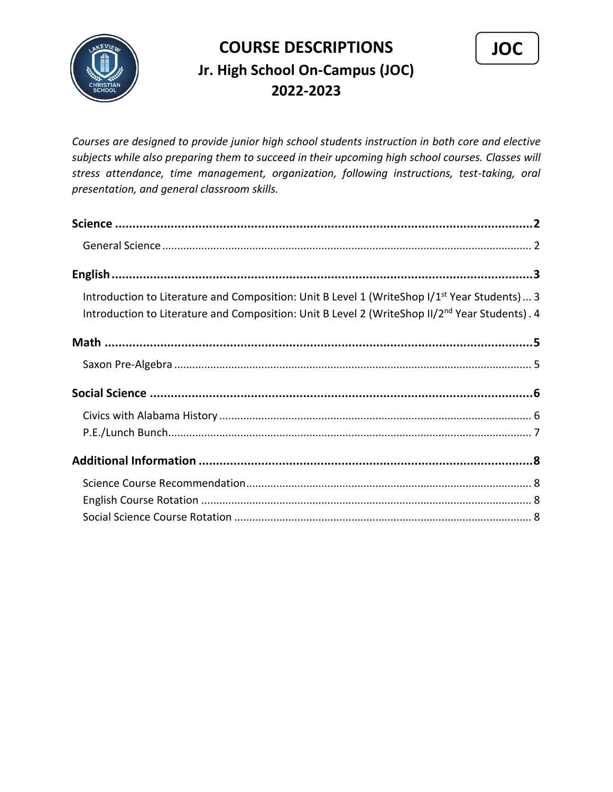

## **COURSE DESCRIPTIONS Jr. High School On-Campus (JOC) 2022-2023**



*Courses are designed to provide junior high school students instruction in both core and elective subjects while also preparing them to succeed in their upcoming high school courses. Classes will stress attendance, time management, organization, following instructions, test-taking, oral presentation, and general classroom skills.*

<span id="page-0-0"></span>

| Introduction to Literature and Composition: Unit B Level 1 (WriteShop I/1 <sup>st</sup> Year Students) 3<br>Introduction to Literature and Composition: Unit B Level 2 (WriteShop II/2 <sup>nd</sup> Year Students). 4 |  |
|------------------------------------------------------------------------------------------------------------------------------------------------------------------------------------------------------------------------|--|
|                                                                                                                                                                                                                        |  |
|                                                                                                                                                                                                                        |  |
|                                                                                                                                                                                                                        |  |
|                                                                                                                                                                                                                        |  |
|                                                                                                                                                                                                                        |  |
|                                                                                                                                                                                                                        |  |
|                                                                                                                                                                                                                        |  |
|                                                                                                                                                                                                                        |  |
|                                                                                                                                                                                                                        |  |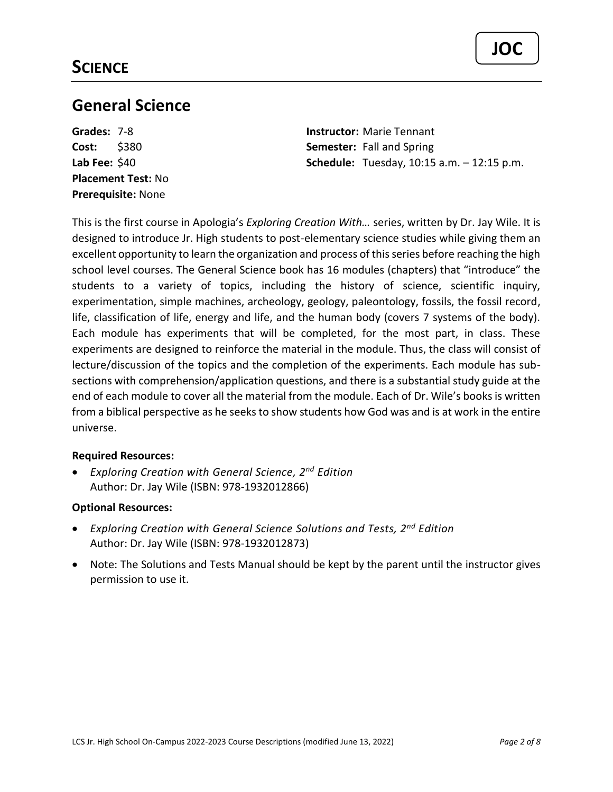### <span id="page-1-0"></span>**General Science**

**Placement Test:** No **Prerequisite:** None

**Grades:** 7-8 **Instructor:** Marie Tennant **Cost:** \$380 **Semester:** Fall and Spring **Lab Fee:** \$40 **Schedule:** Tuesday, 10:15 a.m. – 12:15 p.m.

This is the first course in Apologia's *Exploring Creation With…* series, written by Dr. Jay Wile. It is designed to introduce Jr. High students to post-elementary science studies while giving them an excellent opportunity to learn the organization and process of this series before reaching the high school level courses. The General Science book has 16 modules (chapters) that "introduce" the students to a variety of topics, including the history of science, scientific inquiry, experimentation, simple machines, archeology, geology, paleontology, fossils, the fossil record, life, classification of life, energy and life, and the human body (covers 7 systems of the body). Each module has experiments that will be completed, for the most part, in class. These experiments are designed to reinforce the material in the module. Thus, the class will consist of lecture/discussion of the topics and the completion of the experiments. Each module has subsections with comprehension/application questions, and there is a substantial study guide at the end of each module to cover all the material from the module. Each of Dr. Wile's books is written from a biblical perspective as he seeks to show students how God was and is at work in the entire universe.

#### **Required Resources:**

• *Exploring Creation with General Science, 2nd Edition* Author: Dr. Jay Wile (ISBN: 978-1932012866)

#### **Optional Resources:**

- *Exploring Creation with General Science Solutions and Tests, 2nd Edition* Author: Dr. Jay Wile (ISBN: 978-1932012873)
- Note: The Solutions and Tests Manual should be kept by the parent until the instructor gives permission to use it.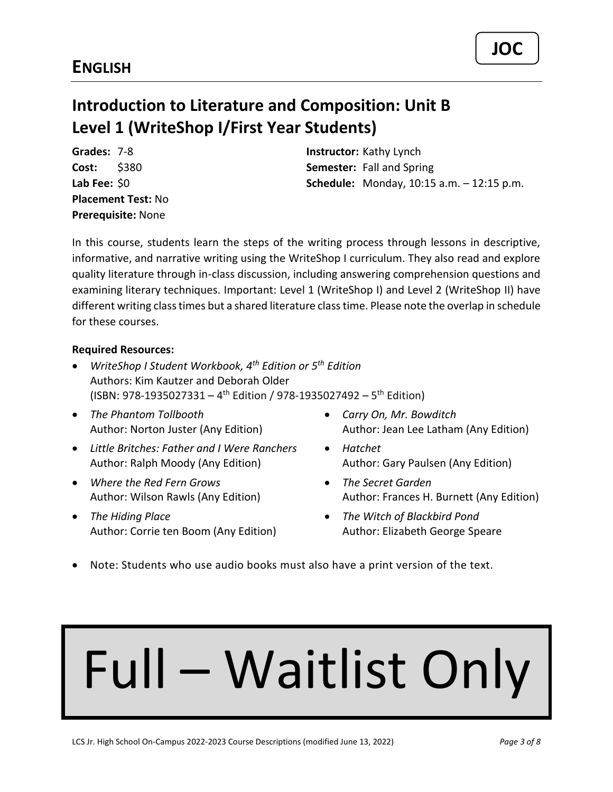## <span id="page-2-1"></span><span id="page-2-0"></span>**Introduction to Literature and Composition: Unit B Level 1 (WriteShop I/First Year Students)**

**Placement Test:** No **Prerequisite:** None

**Grades:** 7-8 **Instructor:** Kathy Lynch **Cost:** \$380 **Semester:** Fall and Spring **Lab Fee:** \$0 **Schedule:** Monday, 10:15 a.m. – 12:15 p.m.

In this course, students learn the steps of the writing process through lessons in descriptive, informative, and narrative writing using the WriteShop I curriculum. They also read and explore quality literature through in-class discussion, including answering comprehension questions and examining literary techniques. Important: Level 1 (WriteShop I) and Level 2 (WriteShop II) have different writing class times but a shared literature class time. Please note the overlap in schedule for these courses.

#### **Required Resources:**

- *WriteShop I Student Workbook, 4th Edition or 5th Edition* Authors: Kim Kautzer and Deborah Older (ISBN: 978-1935027331 – 4<sup>th</sup> Edition / 978-1935027492 – 5<sup>th</sup> Edition)
- *The Phantom Tollbooth* Author: Norton Juster (Any Edition)
- *Little Britches: Father and I Were Ranchers*  Author: Ralph Moody (Any Edition)
- *Where the Red Fern Grows* Author: Wilson Rawls (Any Edition)
- *The Hiding Place* Author: Corrie ten Boom (Any Edition)
- *Carry On, Mr. Bowditch* Author: Jean Lee Latham (Any Edition)
- *Hatchet* Author: Gary Paulsen (Any Edition)
- *The Secret Garden* Author: Frances H. Burnett (Any Edition)
- *The Witch of Blackbird Pond* Author: Elizabeth George Speare
- Note: Students who use audio books must also have a print version of the text.

## Full – Waitlist Only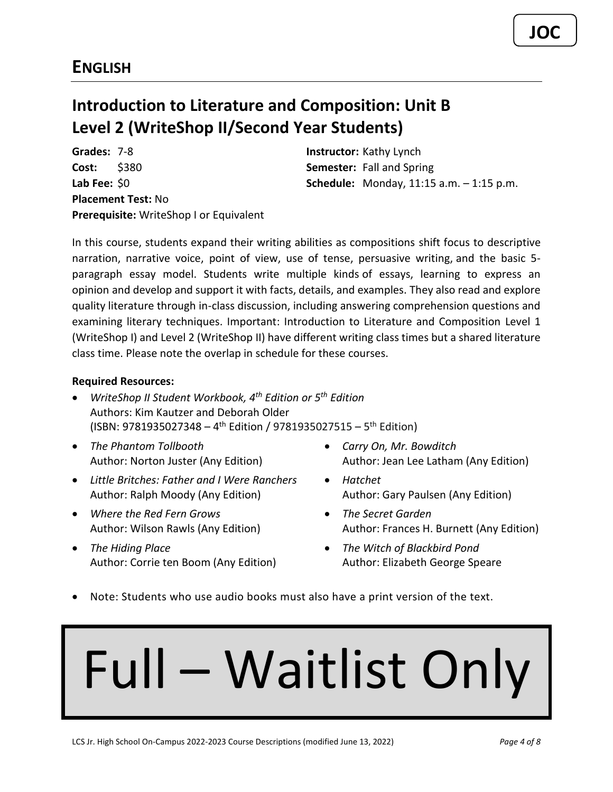## <span id="page-3-0"></span>**Introduction to Literature and Composition: Unit B Level 2 (WriteShop II/Second Year Students)**

**Grades:** 7-8 **Instructor:** Kathy Lynch **Cost:** \$380 **Semester:** Fall and Spring **Placement Test:** No **Prerequisite:** WriteShop I or Equivalent

**Lab Fee:** \$0 **Schedule:** Monday, 11:15 a.m. – 1:15 p.m.

In this course, students expand their writing abilities as compositions shift focus to descriptive narration, narrative voice, point of view, use of tense, persuasive writing, and the basic 5 paragraph essay model. Students write multiple kinds of essays, learning to express an opinion and develop and support it with facts, details, and examples. They also read and explore quality literature through in-class discussion, including answering comprehension questions and examining literary techniques. Important: Introduction to Literature and Composition Level 1 (WriteShop I) and Level 2 (WriteShop II) have different writing class times but a shared literature class time. Please note the overlap in schedule for these courses.

#### **Required Resources:**

- *WriteShop II Student Workbook, 4th Edition or 5th Edition* Authors: Kim Kautzer and Deborah Older (ISBN: 9781935027348 - 4<sup>th</sup> Edition / 9781935027515 - 5<sup>th</sup> Edition)
- *The Phantom Tollbooth* Author: Norton Juster (Any Edition)
- *Little Britches: Father and I Were Ranchers*  Author: Ralph Moody (Any Edition)
- *Where the Red Fern Grows* Author: Wilson Rawls (Any Edition)
- *The Hiding Place* Author: Corrie ten Boom (Any Edition)
- *Carry On, Mr. Bowditch* Author: Jean Lee Latham (Any Edition)
- *Hatchet* Author: Gary Paulsen (Any Edition)
- *The Secret Garden* Author: Frances H. Burnett (Any Edition)
- *The Witch of Blackbird Pond* Author: Elizabeth George Speare
- Note: Students who use audio books must also have a print version of the text.

## Full – Waitlist Only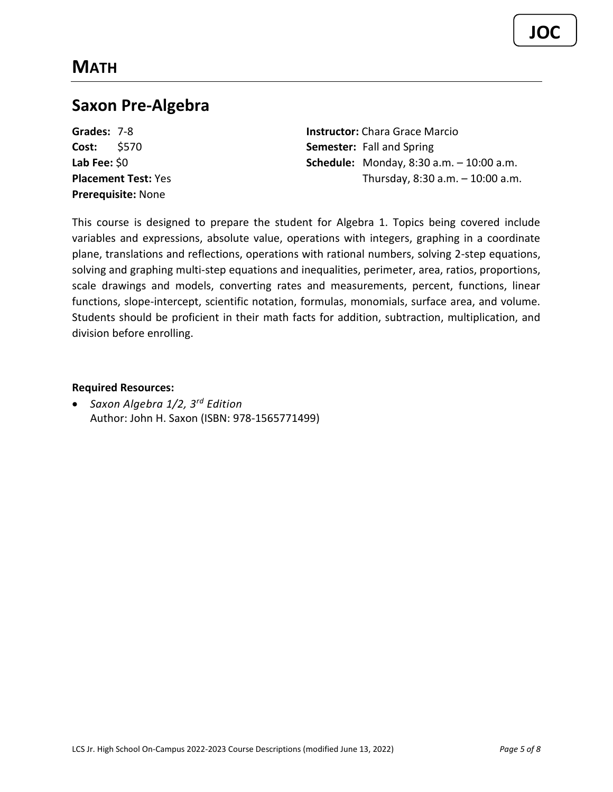### <span id="page-4-1"></span><span id="page-4-0"></span>**Saxon Pre-Algebra**

**Prerequisite:** None

**Grades:** 7-8 **Instructor:** Chara Grace Marcio **Cost:** \$570 **Semester:** Fall and Spring **Lab Fee:** \$0 **Schedule:** Monday, 8:30 a.m. – 10:00 a.m. **Placement Test:** Yes Thursday, 8:30 a.m. – 10:00 a.m.

This course is designed to prepare the student for Algebra 1. Topics being covered include variables and expressions, absolute value, operations with integers, graphing in a coordinate plane, translations and reflections, operations with rational numbers, solving 2-step equations, solving and graphing multi-step equations and inequalities, perimeter, area, ratios, proportions, scale drawings and models, converting rates and measurements, percent, functions, linear functions, slope-intercept, scientific notation, formulas, monomials, surface area, and volume. Students should be proficient in their math facts for addition, subtraction, multiplication, and division before enrolling.

**Required Resources:**

• *Saxon Algebra 1/2, 3rd Edition* Author: John H. Saxon (ISBN: 978-1565771499)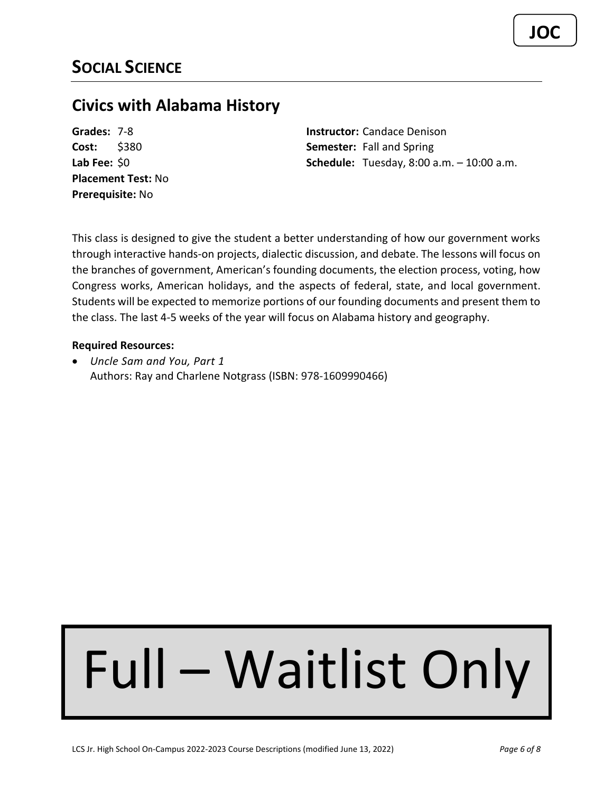### <span id="page-5-1"></span><span id="page-5-0"></span>**Civics with Alabama History**

**Placement Test:** No **Prerequisite:** No

**Grades:** 7-8 **Instructor:** Candace Denison **Cost:** \$380 **Semester:** Fall and Spring **Lab Fee:** \$0 **Schedule:** Tuesday, 8:00 a.m. – 10:00 a.m.

This class is designed to give the student a better understanding of how our government works through interactive hands-on projects, dialectic discussion, and debate. The lessons will focus on the branches of government, American's founding documents, the election process, voting, how Congress works, American holidays, and the aspects of federal, state, and local government. Students will be expected to memorize portions of our founding documents and present them to the class. The last 4-5 weeks of the year will focus on Alabama history and geography.

#### **Required Resources:**

• *Uncle Sam and You, Part 1* Authors: Ray and Charlene Notgrass (ISBN: 978-1609990466)

# Full – Waitlist Only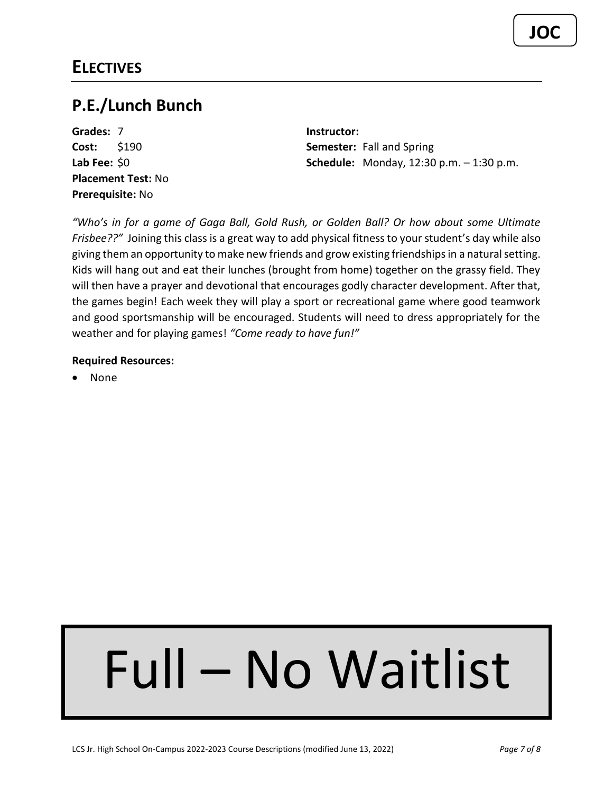<span id="page-6-0"></span>**Grades:** 7 **Instructor: Placement Test:** No **Prerequisite:** No

**Cost:** \$190 **Semester:** Fall and Spring **Lab Fee:** \$0 **Schedule:** Monday, 12:30 p.m. – 1:30 p.m.

*"Who's in for a game of Gaga Ball, Gold Rush, or Golden Ball? Or how about some Ultimate Frisbee??"* Joining this class is a great way to add physical fitness to your student's day while also giving them an opportunity to make new friends and grow existing friendships in a natural setting. Kids will hang out and eat their lunches (brought from home) together on the grassy field. They will then have a prayer and devotional that encourages godly character development. After that, the games begin! Each week they will play a sport or recreational game where good teamwork and good sportsmanship will be encouraged. Students will need to dress appropriately for the weather and for playing games! *"Come ready to have fun!"*

#### **Required Resources:**

• None

## Full – No Waitlist